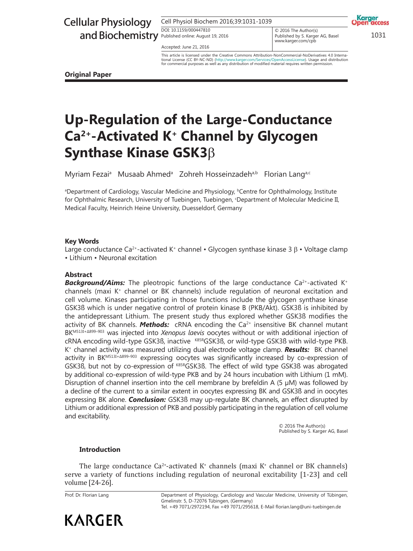# Cellular Physiology

Cell Physiol Biochem 2016;39:1031-1039

DOI: 10.1159/000447810 DOI: 10.1159/000447810

Accepted: June 21, 2016

and Biochemistry Published online: August 19, 2016<br>
Published online: August 19, 2016<br>
WARD RECONDITION CONCRETING A Basel 2013  $\circ$  2016 The Author(s) www.karger.com/cpb Published by S. Karger AG, Basel www.karger.com/cpb

Karger **MEFASS** 

This article is licensed under the Creative Commons Attribution-NonCommercial-NoDerivatives 4.0 Interna-<br>tional License (CC BY-NC-ND) (http://www.karger.com/Services/OpenAccessLicense), Usage and distribution tional License (CC BY-NC-ND) (http://www.karger.com/Services/OpenAccessLicense). Usage and distribution for commercial purposes as well as any distribution of modified material requires written permission.

**Original Paper**

## **Up-Regulation of the Large-Conductance Ca2+-Activated K<sup>+</sup> Channel by Glycogen Synthase Kinase GSK3**β

Myriam Fezai<sup>a</sup> Musaab Ahmed<sup>a</sup> Zohreh Hosseinzadeh<sup>a,b</sup> Florian Lang<sup>a,c</sup>

<sup>a</sup>Department of Cardiology, Vascular Medicine and Physiology, <sup>b</sup>Centre for Ophthalmology, Institute for Ophthalmic Research, University of Tuebingen, Tuebingen, <sup>c</sup>Department of Molecular Medicine II, Medical Faculty, Heinrich Heine University, Duesseldorf, Germany

#### **Key Words**

Large conductance Ca<sup>2+</sup>-activated K<sup>+</sup> channel • Glycogen synthase kinase 3  $\beta$  • Voltage clamp • Lithium • Neuronal excitation

### **Abstract**

**Background/Aims:** The pleotropic functions of the large conductance  $Ca^{2+}$ -activated K<sup>+</sup> channels (maxi K<sup>+</sup> channel or BK channels) include regulation of neuronal excitation and cell volume. Kinases participating in those functions include the glycogen synthase kinase GSK3ß which is under negative control of protein kinase B (PKB/Akt). GSK3ß is inhibited by the antidepressant Lithium. The present study thus explored whether GSK3ß modifies the activity of BK channels. **Methods:** cRNA encoding the Ca<sup>2+</sup> insensitive BK channel mutant BKM513I+Δ899–903 was injected into *Xenopus laevis* oocytes without or with additional injection of cRNA encoding wild-type GSK3ß, inactive <sup>K85R</sup>GSK3ß, or wild-type GSK3ß with wild-type PKB. K + channel activity was measured utilizing dual electrode voltage clamp. *Results:* BK channel activity in BKM513I+A899-903 expressing oocytes was significantly increased by co-expression of GSK3B, but not by co-expression of K85RGSK3B. The effect of wild type GSK3B was abrogated by additional co-expression of wild-type PKB and by 24 hours incubation with Lithium (1 mM). Disruption of channel insertion into the cell membrane by brefeldin A  $(5 \mu M)$  was followed by a decline of the current to a similar extent in oocytes expressing BK and GSK3ß and in oocytes expressing BK alone. *Conclusion:* GSK3ß may up-regulate BK channels, an effect disrupted by Lithium or additional expression of PKB and possibly participating in the regulation of cell volume and excitability.

> © 2016 The Author(s) Published by S. Karger AG, Basel

#### **Introduction**

The large conductance  $Ca^{2+}$ -activated K<sup>+</sup> channels (maxi K<sup>+</sup> channel or BK channels) serve a variety of functions including regulation of neuronal excitability [1-23] and cell volume [24-26].

Prof. Dr. Florian Lang



Department of Physiology, Cardiology and Vascular Medicine, University of Tübingen, Gmelinstr. 5, D-72076 Tübingen, (Germany) Tel. +49 7071/2972194, Fax +49 7071/295618, E-Mail florian.lang@uni-tuebingen.de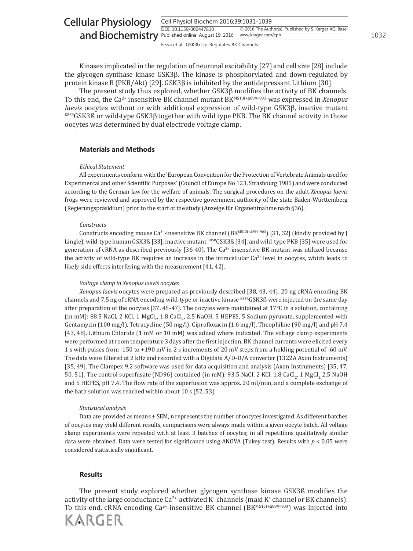| <b>Cellular Physiology</b>                         | Cell Physiol Biochem 2016;39:1031-1039 |                                                                              |      |
|----------------------------------------------------|----------------------------------------|------------------------------------------------------------------------------|------|
| and Biochemistry Published online: August 19, 2016 | DOI: 10.1159/000447810                 | © 2016 The Author(s). Published by S. Karger AG, Basel<br>www.karger.com/cpb | 1032 |
|                                                    |                                        |                                                                              |      |

Fezai et al.: GSK3b Up-Regulates BK Channels

Kinases implicated in the regulation of neuronal excitability [27] and cell size [28] include the glycogen synthase kinase GSK3β. The kinase is phosphorylated and down-regulated by protein kinase B (PKB/Akt) [29]. GSK3β is inhibited by the antidepressant Lithium [30].

The present study thus explored, whether GSK3β modifies the activity of BK channels. To this end, the Ca<sup>2+</sup> insensitive BK channel mutant BK<sup>M5131+4899-903</sup> was expressed in *Xenopus laevis* oocytes without or with additional expression of wild-type GSK3β, inactive mutant  $K85RGSK3B$  or wild-type GSK3 $\beta$  together with wild type PKB. The BK channel activity in those oocytes was determined by dual electrode voltage clamp.

#### **Materials and Methods**

#### *Ethical Statement*

All experiments conform with the 'European Convention for the Protection of Vertebrate Animals used for Experimental and other Scientific Purposes' (Council of Europe No 123, Strasbourg 1985) and were conducted according to the German law for the welfare of animals. The surgical procedures on the adult *Xenopus laevis* frogs were reviewed and approved by the respective government authority of the state Baden-Württemberg (Regierungspräsidium) prior to the start of the study (Anzeige für Organentnahme nach §36).

#### *Constructs*

Constructs encoding mouse Ca<sup>2+</sup>-insensitive BK channel ( $BK^{M5131+{\Delta}899-903}$ ) [31, 32] (kindly provided by J Lingle), wild-type human GSK3ß [33], inactive mutant K85RGSK3ß [34], and wild-type PKB [35] were used for generation of cRNA as described previously [36-40]. The  $Ca^{2+}$ -insensitive BK mutant was utilized because the activity of wild-type BK requires an increase in the intracellular Ca<sup>2+</sup> level in oocytes, which leads to likely side effects interfering with the measurement [41, 42].

#### *Voltage clamp in Xenopus laevis oocytes*

*Xenopus laevis* oocytes were prepared as previously described [38, 43, 44]. 20 ng cRNA encoding BK channels and 7.5 ng of cRNA encoding wild-type or inactive kinase K85RGSK3ß were injected on the same day after preparation of the oocytes [37, 45-47]. The oocytes were maintained at 17°C in a solution, containing (in mM): 88.5 NaCl, 2 KCl, 1 MgCl<sub>2</sub>, 1.8 CaCl<sub>2</sub>, 2.5 NaOH, 5 HEPES, 5 Sodium pyruvate, supplemented with Gentamycin (100 mg/l), Tetracycline (50 mg/l), Ciprofloxacin (1.6 mg/l), Theophiline (90 mg/l) and pH 7.4 [43, 48]. Lithium Chloride (1 mM or 10 mM) was added where indicated. The voltage clamp experiments were performed at room temperature 3 days after the first injection. BK channel currents were elicited every 1 s with pulses from -150 to +190 mV in 2 s increments of 20 mV steps from a holding potential of -60 mV. The data were filtered at 2 kHz and recorded with a Digidata A/D-D/A converter (1322A Axon Instruments) [35, 49]. The Clampex 9.2 software was used for data acquisition and analysis (Axon Instruments) [35, 47, 50, 51]. The control superfusate (ND96) contained (in mM): 93.5 NaCl, 2 KCl, 1.8 CaCl<sub>2</sub>, 1 MgCl<sub>2,</sub> 2.5 NaOH and 5 HEPES, pH 7.4. The flow rate of the superfusion was approx. 20 ml/min, and a complete exchange of the bath solution was reached within about 10 s [52, 53].

#### *Statistical analysis*

Data are provided as means ± SEM, n represents the number of oocytes investigated. As different batches of oocytes may yield different results, comparisons were always made within a given oocyte batch. All voltage clamp experiments were repeated with at least 3 batches of oocytes; in all repetitions qualitatively similar data were obtained. Data were tested for significance using ANOVA (Tukey test). Results with  $p < 0.05$  were considered statistically significant.

#### **Results**

KARGER

The present study explored whether glycogen synthase kinase GSK3ß modifies the activity of the large conductance  $Ca^{2+}$ -activated K<sup>+</sup> channels (maxi K<sup>+</sup> channel or BK channels). To this end, cRNA encoding Ca<sup>2+</sup>-insensitive BK channel (BK<sup>M5131+Δ899-903</sup>) was injected into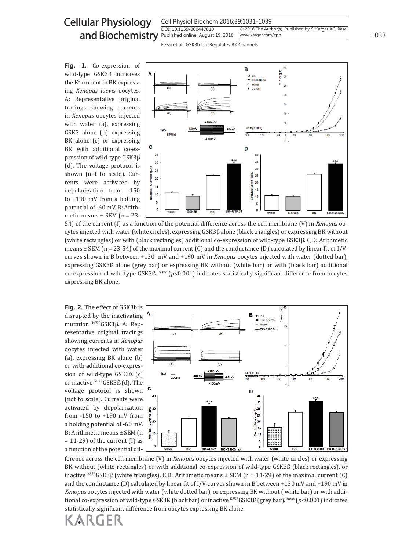# Cellular Physiology

Cell Physiol Biochem 2016;39:1031-1039 DOI: 10.1159/000447810 Published online: August 19, 2016 1033 and Biochemistry © 2016 The Author(s). Published by S. Karger AG, Basel www.karger.com/cpb

Fezai et al.: GSK3b Up-Regulates BK Channels

**Fig. 1.** Co-expression of wild-type GSK3β increases the K<sup>+</sup> current in BK expressing *Xenopus laevis* oocytes. A: Representative original tracings showing currents in *Xenopus* oocytes injected with water (a), expressing GSK3 alone (b) expressing BK alone (c) or expressing BK with additional co-expression of wild-type GSK3β (d). The voltage protocol is shown (not to scale). Currents were activated by depolarization from -150 to +190 mV from a holding potential of -60 mV. B: Arithmetic means  $\pm$  SEM (n = 23-



54) of the current (I) as a function of the potential difference across the cell membrane (V) in *Xenopus* oocytes injected with water (white circles), expressing GSK3β alone (black triangles) or expressing BK without (white rectangles) or with (black rectangles) additional co-expression of wild-type GSK3β. C,D: Arithmetic means  $\pm$  SEM (n = 23-54) of the maximal current (C) and the conductance (D) calculated by linear fit of I/Vcurves shown in B between +130 mV and +190 mV in *Xenopus* oocytes injected with water (dotted bar), expressing GSK3ß alone (grey bar) or expressing BK without (white bar) or with (black bar) additional co-expression of wild-type GSK3ß. \*\*\* (*p*<0.001) indicates statistically significant difference from oocytes expressing BK alone.

**Fig. 2.** The effect of GSK3b is disrupted by the inactivating mutation K85RGSK3β. A: Representative original tracings showing currents in *Xenopus* oocytes injected with water (a), expressing BK alone (b) or with additional co-expression of wild-type GSK3ß (c) or inactive K85RGSK3ß (d). The voltage protocol is shown (not to scale). Currents were activated by depolarization from -150 to +190 mV from a holding potential of -60 mV. B: Arithmetic means ± SEM (n  $= 11-29$ ) of the current (I) as a function of the potential dif-



ference across the cell membrane (V) in *Xenopus* oocytes injected with water (white circles) or expressing BK without (white rectangles) or with additional co-expression of wild-type GSK3ß (black rectangles), or inactive K85RGSK3 $\beta$  (white triangles). C,D: Arithmetic means  $\pm$  SEM (n = 11-29) of the maximal current (C) and the conductance (D) calculated by linear fit of I/V-curves shown in B between +130 mV and +190 mV in *Xenopus* oocytes injected with water (white dotted bar), or expressing BK without ( white bar) or with additional co-expression of wild-type GSK3ß (black bar) or inactive K85RGSK3ß (grey bar). \*\*\* (*p*<0.001) indicates statistically significant difference from oocytes expressing BK alone.

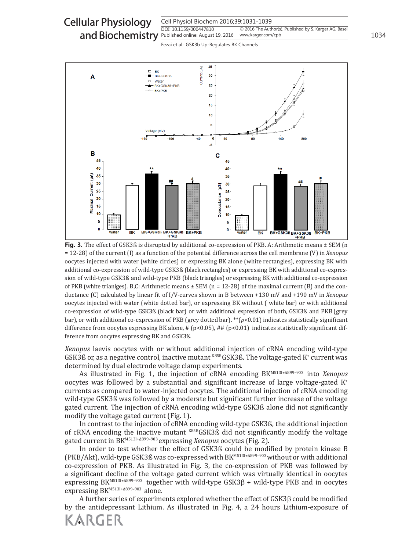Cell Physiol Biochem 2016;39:1031-1039 DOI: 10.1159/000447810 and Biochemistry **Published online: August 19, 2016** | www.karger.com/cpb | 20034 Cellular Physiology © 2016 The Author(s). Published by S. Karger AG, Basel www.karger.com/cpb

Fezai et al.: GSK3b Up-Regulates BK Channels



**Fig. 3.** The effect of GSK3ß is disrupted by additional co-expression of PKB. A: Arithmetic means  $\pm$  SEM (n = 12-28) of the current (I) as a function of the potential difference across the cell membrane (V) in *Xenopus* oocytes injected with water (white circles) or expressing BK alone (white rectangles), expressing BK with additional co-expression of wild-type GSK3ß (black rectangles) or expressing BK with additional co-expression of wild-type GSK3ß and wild-type PKB (black triangles) or expressing BK with additional co-expression of PKB (white trianlges). B,C: Arithmetic means  $\pm$  SEM (n = 12-28) of the maximal current (B) and the conductance (C) calculated by linear fit of I/V-curves shown in B between +130 mV and +190 mV in *Xenopus* oocytes injected with water (white dotted bar), or expressing BK without ( white bar) or with additional co-expression of wild-type GSK3ß (black bar) or with additional expression of both, GSK3ß and PKB (grey bar), or with additional co-expression of PKB (grey dotted bar). \*\*(*p*<0.01) indicates statistically significant difference from oocytes expressing BK alone, # (p<0.05), ## (p<0.01) indicates statistically significant difference from oocytes expressing BK and GSK3ß.

*Xenopus* laevis oocytes with or without additional injection of cRNA encoding wild-type GSK3ß or, as a negative control, inactive mutant  $^{K85R}$ GSK3ß. The voltage-gated K $^*$  current was determined by dual electrode voltage clamp experiments.

As illustrated in Fig. 1, the injection of cRNA encoding BKM513I+A899-903 into *Xenopus* oocytes was followed by a substantial and significant increase of large voltage**-**gated K<sup>+</sup> currents as compared to water-injected oocytes. The additional injection of cRNA encoding wild-type GSK3ß was followed by a moderate but significant further increase of the voltage gated current. The injection of cRNA encoding wild-type GSK3ß alone did not significantly modify the voltage gated current (Fig. 1).

In contrast to the injection of cRNA encoding wild-type GSK3ß, the additional injection of cRNA encoding the inactive mutant K85RGSK3ß did not significantly modify the voltage gated current in BKM513I+Δ899–903 expressing *Xenopus* oocytes (Fig. 2).

In order to test whether the effect of GSK3ß could be modified by protein kinase B (PKB/Akt), wild-type GSK3ß was co-expressed with BKM513I+A899-903 without or with additional co-expression of PKB. As illustrated in Fig. 3, the co-expression of PKB was followed by a significant decline of the voltage gated current which was virtually identical in oocytes expressing BKM513I+Δ899–903 together with wild-type GSK3β + wild-type PKB and in oocytes expressing BK<sup>M5131+Δ899-903</sup> alone.

A further series of experiments explored whether the effect of GSK3β could be modified by the antidepressant Lithium. As illustrated in Fig. 4, a 24 hours Lithium-exposure of

KARGER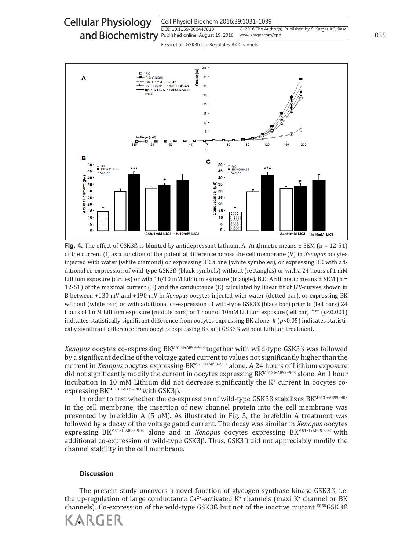



**Fig. 4.** The effect of GSK3ß is blunted by antidepressant Lithium. A: Arithmetic means  $\pm$  SEM (n = 12-51) of the current (I) as a function of the potential difference across the cell membrane (V) in *Xenopus* oocytes injected with water (white diamond) or expressing BK alone (white symboles), or expressing BK with additional co-expression of wild-type GSK3ß (black symbols) without (rectangles) or with a 24 hours of 1 mM Lithium exposure (circles) or with  $1h/10$  mM Lithium exposure (triangle). B,C: Arithmetic means  $\pm$  SEM (n = 12-51) of the maximal current (B) and the conductance (C) calculated by linear fit of I/V-curves shown in B between +130 mV and +190 mV in *Xenopus* oocytes injected with water (dotted bar), or expressing BK without (white bar) or with additional co-expression of wild-type GSK3ß (black bar) prior to (left bars) 24 hours of 1mM Lithium exposure (middle bars) or 1 hour of 10mM Lithium exposure (left bar). \*\*\* (*p*<0.001) indicates statistically significant difference from oocytes expressing BK alone, # (*p<*0.05) indicates statistically significant difference from oocytes expressing BK and GSK3ß without Lithium treatment.

*Xenopus* oocytes co-expressing BKM513I+Δ899–903 together with wild-type GSK3β was followed by a significant decline of the voltage gated current to values not significantly higher than the current in *Xenopus* oocytes expressing BKM513I+Δ899–903 alone. A 24 hours of Lithium exposure did not significantly modify the current in oocytes expressing BKM513I+Δ899-903 alone. An 1 hour incubation in 10 mM Lithium did not decrease significantly the K<sup>+</sup> current in oocytes coexpressing BKM513I+Δ899-903 with GSK3β.

In order to test whether the co-expression of wild-type  $GSK3\beta$  stabilizes  $BK^{M5131+ \Delta 899-903}$ in the cell membrane, the insertion of new channel protein into the cell membrane was prevented by brefeldin A (5  $\mu$ M). As illustrated in Fig. 5, the brefeldin A treatment was followed by a decay of the voltage gated current. The decay was similar in *Xenopus* oocytes expressing BKM513I+Δ899–903 alone and in *Xenopus* oocytes expressing BKM513I+Δ899–903 with additional co-expression of wild-type GSK3β. Thus, GSK3β did not appreciably modify the channel stability in the cell membrane.

#### **Discussion**

The present study uncovers a novel function of glycogen synthase kinase GSK3ß, i.e. the up-regulation of large conductance  $Ca^{2+}$ -activated K<sup>+</sup> channels (maxi K<sup>+</sup> channel or BK channels). Co-expression of the wild-type GSK3ß but not of the inactive mutant K85RGSK3ß

KARGER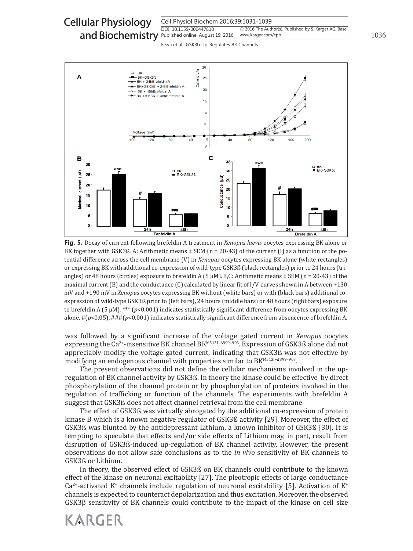



**Fig. 5.** Decay of current following brefeldin A treatment in *Xenopus laevis* oocytes expressing BK alone or BK together with GSK3ß. A: Arithmetic means  $\pm$  SEM (n = 20-43) of the current (I) as a function of the potential difference across the cell membrane (V) in *Xenopus* oocytes expressing BK alone (white rectangles) or expressing BK with additional co-expression of wild-type GSK3ß (black rectangles) prior to 24 hours (triangles) or 48 hours (circles) exposure to brefeldin A (5  $\mu$ M). B,C: Arithmetic means  $\pm$  SEM (n = 20-43) of the maximal current (B) and the conductance (C) calculated by linear fit of I/V-curves shown in A between +130 mV and +190 mV in *Xenopus* oocytes expressing BK without (white bars) or with (black bars) additional coexpression of wild-type GSK3ß prior to (left bars), 24 hours (middle bars) or 48 hours (right bars) exposure to brefeldin A (5 µM). \*\*\* (*p*<0.001) indicates statistically significant difference from oocytes expressing BK alone,  $\# (p<0.05)$ ,  $\# \# (p<0.001)$  indicates statistically significant difference from absencence of brefeldin A.

was followed by a significant increase of the voltage gated current in *Xenopus* oocytes expressing the Ca<sup>2+</sup>-insensitive BK channel BK<sup>M5131+Δ899-903</sup>. Expression of GSK3ß alone did not appreciably modify the voltage gated current, indicating that GSK3ß was not effective by modifying an endogenous channel with properties similar to BK<sup>м5131+∆899-903</sup>.

The present observations did not define the cellular mechanisms involved in the upregulation of BK channel activity by GSK3ß. In theory the kinase could be effective by direct phosphorylation of the channel protein or by phosphorylation of proteins involved in the regulation of trafficking or function of the channels. The experiments with brefeldin A suggest that GSK3ß does not affect channel retrieval from the cell membrane.

The effect of GSK3ß was virtually abrogated by the additional co-expression of protein kinase B which is a known negative regulator of GSK3ß activity [29]. Moreover, the effect of GSK3ß was blunted by the antidepressant Lithium, a known inhibitor of GSK3ß [30]. It is tempting to speculate that effects and/or side effects of Lithium may, in part, result from disruption of GSK3ß-induced up-regulation of BK channel activity. However, the present observations do not allow safe conclusions as to the *in vivo* sensitivity of BK channels to GSK3ß or Lithium.

In theory, the observed effect of GSK3ß on BK channels could contribute to the known effect of the kinase on neuronal excitability [27]. The pleotropic effects of large conductance  $Ca<sup>2+</sup>$ -activated K<sup>+</sup> channels include regulation of neuronal excitability [5]. Activation of K<sup>+</sup> channels is expected to counteract depolarization and thus excitation. Moreover, the observed GSK3β sensitivity of BK channels could contribute to the impact of the kinase on cell size

## KARGER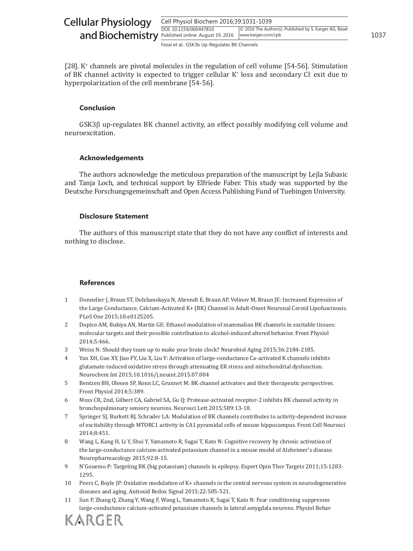| <b>Cellular Physiology</b>                         | Cell Physiol Biochem 2016;39:1031-1039       |                                                                              |      |
|----------------------------------------------------|----------------------------------------------|------------------------------------------------------------------------------|------|
| and Biochemistry Published online: August 19, 2016 | DOI: 10.1159/000447810                       | © 2016 The Author(s). Published by S. Karger AG, Basel<br>www.karger.com/cpb | 1037 |
|                                                    | Fezai et al.: GSK3b Up-Regulates BK Channels |                                                                              |      |

[28]. K<sup>+</sup> channels are pivotal molecules in the regulation of cell volume [54-56]. Stimulation of BK channel activity is expected to trigger cellular K<sup>+</sup> loss and secondary Cl<sup>-</sup> exit due to hyperpolarization of the cell membrane [54-56].

#### **Conclusion**

GSK3β up-regulates BK channel activity, an effect possibly modifying cell volume and neuroexcitation.

#### **Acknowledgements**

The authors acknowledge the meticulous preparation of the manuscript by Lejla Subasic and Tanja Loch, and technical support by Elfriede Faber. This study was supported by the Deutsche Forschungsgemeinschaft and Open Access Publishing Fund of Tuebingen University.

#### **Disclosure Statement**

The authors of this manuscript state that they do not have any conflict of interests and nothing to disclose.

### **References**

- 1 Donnelier J, Braun ST, Dolzhanskaya N, Ahrendt E, Braun AP, Velinov M, Braun JE: Increased Expression of the Large Conductance, Calcium-Activated K+ (BK) Channel in Adult-Onset Neuronal Ceroid Lipofuscinosis. PLoS One 2015;10:e0125205.
- 2 Dopico AM, Bukiya AN, Martin GE: Ethanol modulation of mammalian BK channels in excitable tissues: molecular targets and their possible contribution to alcohol-induced altered behavior. Front Physiol 2014;5:466.
- 3 Weiss N: Should they team up to make your brain clock? Neurobiol Aging 2015;36:2184-2185.
- 4 Yan XH, Guo XY, Jiao FY, Liu X, Liu Y: Activation of large-conductance Ca-activated K channels inhibits glutamate-induced oxidative stress through attenuating ER stress and mitochondrial dysfunction. Neurochem Int 2015;10.1016/j.neuint.2015.07.004
- 5 Bentzen BH, Olesen SP, Ronn LC, Grunnet M: BK channel activators and their therapeutic perspectives. Front Physiol 2014;5:389.
- 6 Moss CR, 2nd, Gilbert CA, Gabriel SA, Gu Q: Protease-activated receptor-2 inhibits BK channel activity in bronchopulmonary sensory neurons. Neurosci Lett 2015;589:13-18.
- 7 Springer SJ, Burkett BJ, Schrader LA: Modulation of BK channels contributes to activity-dependent increase of excitability through MTORC1 activity in CA1 pyramidal cells of mouse hippocampus. Front Cell Neurosci 2014;8:451.
- 8 Wang L, Kang H, Li Y, Shui Y, Yamamoto R, Sugai T, Kato N: Cognitive recovery by chronic activation of the large-conductance calcium-activated potassium channel in a mouse model of Alzheimer's disease. Neuropharmacology 2015;92:8-15.
- 9 N'Gouemo P: Targeting BK (big potassium) channels in epilepsy. Expert Opin Ther Targets 2011;15:1283- 1295.
- 10 Peers C, Boyle JP: Oxidative modulation of K+ channels in the central nervous system in neurodegenerative diseases and aging. Antioxid Redox Signal 2015;22:505-521.
- 11 Sun P, Zhang Q, Zhang Y, Wang F, Wang L, Yamamoto R, Sugai T, Kato N: Fear conditioning suppresses large-conductance calcium-activated potassium channels in lateral amygdala neurons. Physiol Behav

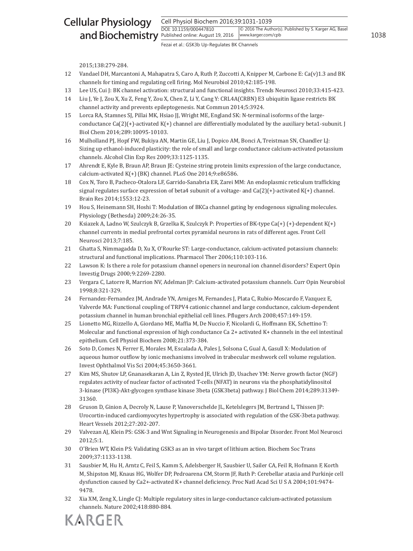#### Cell Physiol Biochem 2016;39:1031-1039 DOI: 10.1159/000447810 Published online: August 19, 2016 1038 and Biochemistry Cellular Physiology © 2016 The Author(s). Published by S. Karger AG, Basel www.karger.com/cpb

Fezai et al.: GSK3b Up-Regulates BK Channels

2015;138:279-284.

- 12 Vandael DH, Marcantoni A, Mahapatra S, Caro A, Ruth P, Zuccotti A, Knipper M, Carbone E: Ca(v)1.3 and BK channels for timing and regulating cell firing. Mol Neurobiol 2010;42:185-198.
- 13 Lee US, Cui J: BK channel activation: structural and functional insights. Trends Neurosci 2010;33:415-423.
- 14 Liu J, Ye J, Zou X, Xu Z, Feng Y, Zou X, Chen Z, Li Y, Cang Y: CRL4A(CRBN) E3 ubiquitin ligase restricts BK channel activity and prevents epileptogenesis. Nat Commun 2014;5:3924.
- 15 Lorca RA, Stamnes SJ, Pillai MK, Hsiao JJ, Wright ME, England SK: N-terminal isoforms of the largeconductance  $Ca(2)(+)$ -activated  $K(+)$  channel are differentially modulated by the auxiliary beta1-subunit. J Biol Chem 2014;289:10095-10103.
- 16 Mulholland PJ, Hopf FW, Bukiya AN, Martin GE, Liu J, Dopico AM, Bonci A, Treistman SN, Chandler LJ: Sizing up ethanol-induced plasticity: the role of small and large conductance calcium-activated potassium channels. Alcohol Clin Exp Res 2009;33:1125-1135.
- 17 Ahrendt E, Kyle B, Braun AP, Braun JE: Cysteine string protein limits expression of the large conductance, calcium-activated K(+) (BK) channel. PLoS One 2014;9:e86586.
- 18 Cox N, Toro B, Pacheco-Otalora LF, Garrido-Sanabria ER, Zarei MM: An endoplasmic reticulum trafficking signal regulates surface expression of beta4 subunit of a voltage- and  $Ca(2)(+)$ -activated K $(+)$  channel. Brain Res 2014;1553:12-23.
- 19 Hou S, Heinemann SH, Hoshi T: Modulation of BKCa channel gating by endogenous signaling molecules. Physiology (Bethesda) 2009;24:26-35.
- 20 Ksiazek A, Ladno W, Szulczyk B, Grzelka K, Szulczyk P: Properties of BK-type Ca(+) (+)-dependent K(+) channel currents in medial prefrontal cortex pyramidal neurons in rats of different ages. Front Cell Neurosci 2013;7:185.
- 21 Ghatta S, Nimmagadda D, Xu X, O'Rourke ST: Large-conductance, calcium-activated potassium channels: structural and functional implications. Pharmacol Ther 2006;110:103-116.
- 22 Lawson K: Is there a role for potassium channel openers in neuronal ion channel disorders? Expert Opin Investig Drugs 2000;9:2269-2280.
- 23 Vergara C, Latorre R, Marrion NV, Adelman JP: Calcium-activated potassium channels. Curr Opin Neurobiol 1998;8:321-329.
- 24 Fernandez-Fernandez JM, Andrade YN, Arniges M, Fernandes J, Plata C, Rubio-Moscardo F, Vazquez E, Valverde MA: Functional coupling of TRPV4 cationic channel and large conductance, calcium-dependent potassium channel in human bronchial epithelial cell lines. Pflugers Arch 2008;457:149-159.
- 25 Lionetto MG, Rizzello A, Giordano ME, Maffia M, De Nuccio F, Nicolardi G, Hoffmann EK, Schettino T: Molecular and functional expression of high conductance Ca 2+ activated K+ channels in the eel intestinal epithelium. Cell Physiol Biochem 2008;21:373-384.
- 26 Soto D, Comes N, Ferrer E, Morales M, Escalada A, Pales J, Solsona C, Gual A, Gasull X: Modulation of aqueous humor outflow by ionic mechanisms involved in trabecular meshwork cell volume regulation. Invest Ophthalmol Vis Sci 2004;45:3650-3661.
- 27 Kim MS, Shutov LP, Gnanasekaran A, Lin Z, Rysted JE, Ulrich JD, Usachev YM: Nerve growth factor (NGF) regulates activity of nuclear factor of activated T-cells (NFAT) in neurons via the phosphatidylinositol 3-kinase (PI3K)-Akt-glycogen synthase kinase 3beta (GSK3beta) pathway. J Biol Chem 2014;289:31349- 31360.
- 28 Gruson D, Ginion A, Decroly N, Lause P, Vanoverschelde JL, Ketelslegers JM, Bertrand L, Thissen JP: Urocortin-induced cardiomyocytes hypertrophy is associated with regulation of the GSK-3beta pathway. Heart Vessels 2012;27:202-207.
- 29 Valvezan AJ, Klein PS: GSK-3 and Wnt Signaling in Neurogenesis and Bipolar Disorder. Front Mol Neurosci 2012;5:1.
- 30 O'Brien WT, Klein PS: Validating GSK3 as an in vivo target of lithium action. Biochem Soc Trans 2009;37:1133-1138.
- 31 Sausbier M, Hu H, Arntz C, Feil S, Kamm S, Adelsberger H, Sausbier U, Sailer CA, Feil R, Hofmann F, Korth M, Shipston MJ, Knaus HG, Wolfer DP, Pedroarena CM, Storm JF, Ruth P: Cerebellar ataxia and Purkinje cell dysfunction caused by Ca2+-activated K+ channel deficiency. Proc Natl Acad Sci U S A 2004;101:9474- 9478.
- 32 Xia XM, Zeng X, Lingle CJ: Multiple regulatory sites in large-conductance calcium-activated potassium channels. Nature 2002;418:880-884.